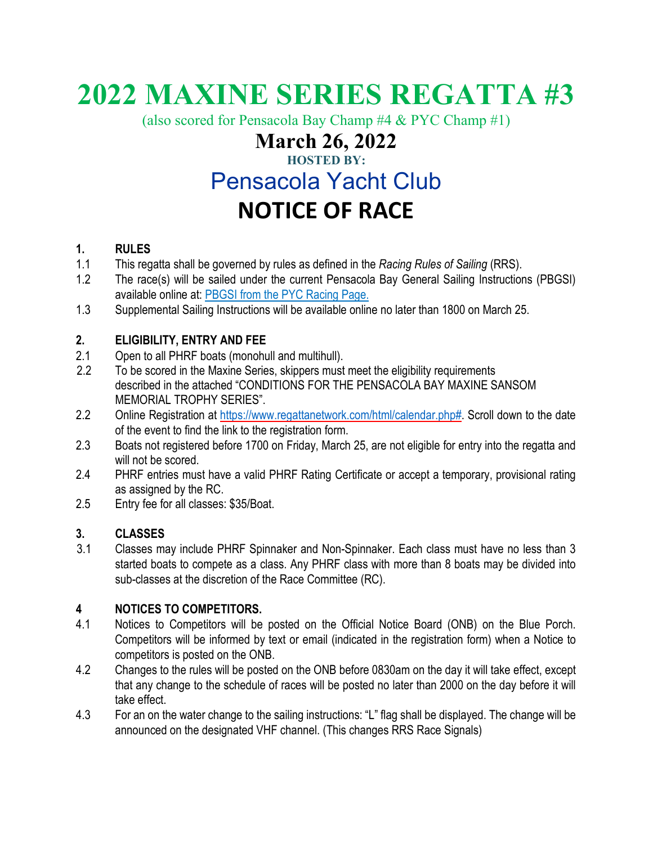# **2022 MAXINE SERIES REGATTA #3**

(also scored for Pensacola Bay Champ #4 & PYC Champ #1)

### **March 26, 2022**

### **HOSTED BY:**

### Pensacola Yacht Club

## **NOTICE OF RACE**

#### **1. RULES**

- 1.1 This regatta shall be governed by rules as defined in the *Racing Rules of Sailing* (RRS).
- 1.2 The race(s) will be sailed under the current Pensacola Bay General Sailing Instructions (PBGSI) available online at: [PBGSI from the PYC Racing Page.](https://www.pensacolayachtclub.org/getmedia/272a4ba8-8482-4a10-9bf4-f7bfaa799972/P_Bay_Gen_SI_s_2022_1-31-22_final.aspx)
- 1.3 Supplemental Sailing Instructions will be available online no later than 1800 on March 25.

#### **2. ELIGIBILITY, ENTRY AND FEE**

- 2.1 Open to all PHRF boats (monohull and multihull).
- 2.2 To be scored in the Maxine Series, skippers must meet the eligibility requirements described in the attached "CONDITIONS FOR THE PENSACOLA BAY MAXINE SANSOM MEMORIAL TROPHY SERIES".
- 2.2 Online Registration at [https://www.regattanetwork.com/html/calendar.php#.](https://www.regattanetwork.com/html/calendar.php) Scroll down to the date of the event to find the link to the registration form.
- 2.3 Boats not registered before 1700 on Friday, March 25, are not eligible for entry into the regatta and will not be scored.
- 2.4 PHRF entries must have a valid PHRF Rating Certificate or accept a temporary, provisional rating as assigned by the RC.
- 2.5 Entry fee for all classes: \$35/Boat.

#### **3. CLASSES**

3.1 Classes may include PHRF Spinnaker and Non-Spinnaker. Each class must have no less than 3 started boats to compete as a class. Any PHRF class with more than 8 boats may be divided into sub-classes at the discretion of the Race Committee (RC).

#### **4 NOTICES TO COMPETITORS.**

- 4.1 Notices to Competitors will be posted on the Official Notice Board (ONB) on the Blue Porch. Competitors will be informed by text or email (indicated in the registration form) when a Notice to competitors is posted on the ONB.
- 4.2 Changes to the rules will be posted on the ONB before 0830am on the day it will take effect, except that any change to the schedule of races will be posted no later than 2000 on the day before it will take effect.
- 4.3 For an on the water change to the sailing instructions: "L" flag shall be displayed. The change will be announced on the designated VHF channel. (This changes RRS Race Signals)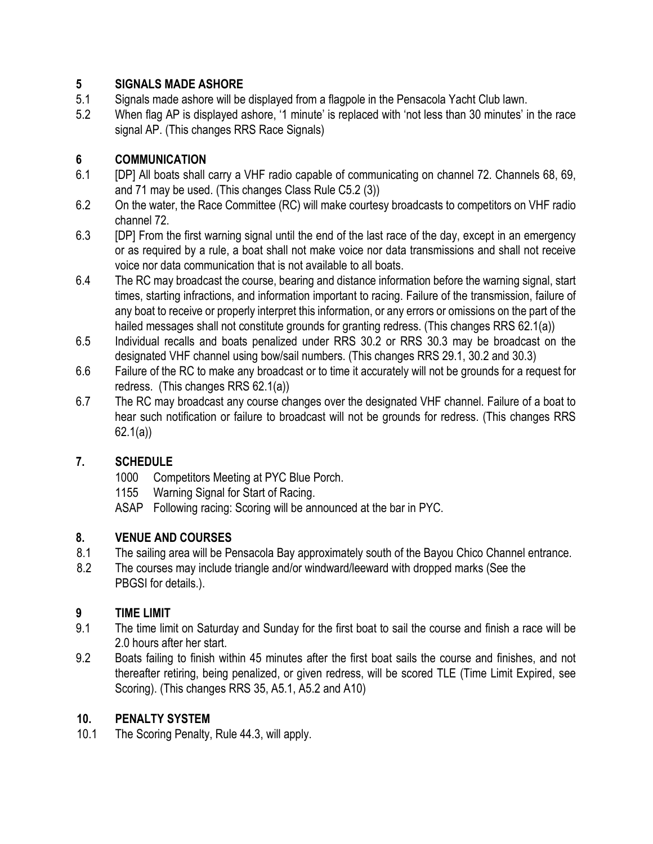#### **5 SIGNALS MADE ASHORE**

- 5.1 Signals made ashore will be displayed from a flagpole in the Pensacola Yacht Club lawn.
- 5.2 When flag AP is displayed ashore, '1 minute' is replaced with 'not less than 30 minutes' in the race signal AP. (This changes RRS Race Signals)

#### **6 COMMUNICATION**

- 6.1 [DP] All boats shall carry a VHF radio capable of communicating on channel 72. Channels 68, 69, and 71 may be used. (This changes Class Rule C5.2 (3))
- 6.2 On the water, the Race Committee (RC) will make courtesy broadcasts to competitors on VHF radio channel 72.
- 6.3 [DP] From the first warning signal until the end of the last race of the day, except in an emergency or as required by a rule, a boat shall not make voice nor data transmissions and shall not receive voice nor data communication that is not available to all boats.
- 6.4 The RC may broadcast the course, bearing and distance information before the warning signal, start times, starting infractions, and information important to racing. Failure of the transmission, failure of any boat to receive or properly interpret this information, or any errors or omissions on the part of the hailed messages shall not constitute grounds for granting redress. (This changes RRS 62.1(a))
- 6.5 Individual recalls and boats penalized under RRS 30.2 or RRS 30.3 may be broadcast on the designated VHF channel using bow/sail numbers. (This changes RRS 29.1, 30.2 and 30.3)
- 6.6 Failure of the RC to make any broadcast or to time it accurately will not be grounds for a request for redress. (This changes RRS 62.1(a))
- 6.7 The RC may broadcast any course changes over the designated VHF channel. Failure of a boat to hear such notification or failure to broadcast will not be grounds for redress. (This changes RRS 62.1(a))

#### **7. SCHEDULE**

- 1000 Competitors Meeting at PYC Blue Porch.
- 1155 Warning Signal for Start of Racing.
- ASAP Following racing: Scoring will be announced at the bar in PYC.

#### **8. VENUE AND COURSES**

- 8.1 The sailing area will be Pensacola Bay approximately south of the Bayou Chico Channel entrance.
- 8.2 The courses may include triangle and/or windward/leeward with dropped marks (See the PBGSI for details.).

#### **9 TIME LIMIT**

- 9.1 The time limit on Saturday and Sunday for the first boat to sail the course and finish a race will be 2.0 hours after her start.
- 9.2 Boats failing to finish within 45 minutes after the first boat sails the course and finishes, and not thereafter retiring, being penalized, or given redress, will be scored TLE (Time Limit Expired, see Scoring). (This changes RRS 35, A5.1, A5.2 and A10)

#### **10. PENALTY SYSTEM**

10.1 The Scoring Penalty, Rule 44.3, will apply.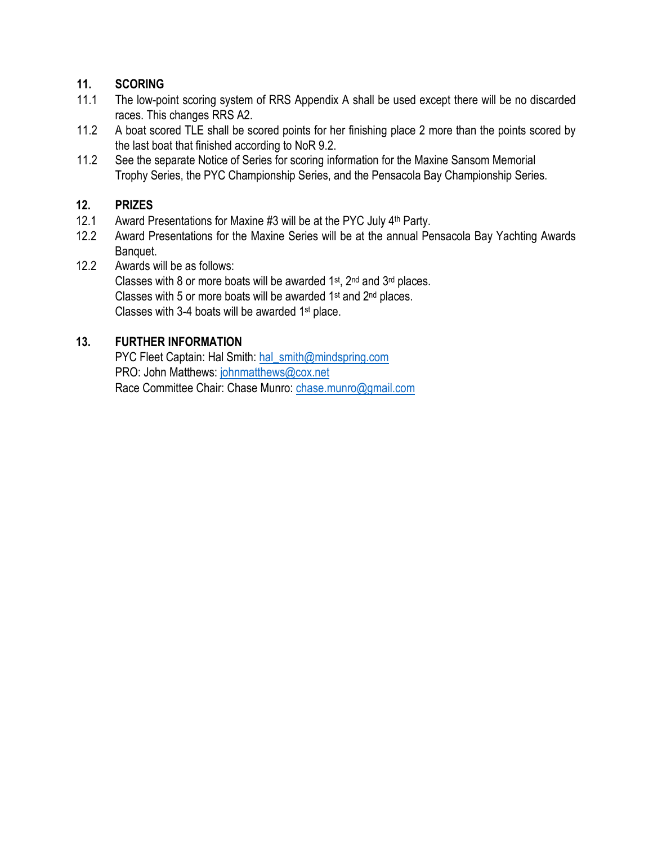#### **11. SCORING**

- 11.1 The low-point scoring system of RRS Appendix A shall be used except there will be no discarded races. This changes RRS A2.
- 11.2 A boat scored TLE shall be scored points for her finishing place 2 more than the points scored by the last boat that finished according to NoR 9.2.
- 11.2 See the separate Notice of Series for scoring information for the Maxine Sansom Memorial Trophy Series, the PYC Championship Series, and the Pensacola Bay Championship Series.

#### **12. PRIZES**

- 12.1 Award Presentations for Maxine #3 will be at the PYC July  $4<sup>th</sup>$  Party.
- 12.2 Award Presentations for the Maxine Series will be at the annual Pensacola Bay Yachting Awards Banquet.
- 12.2 Awards will be as follows: Classes with 8 or more boats will be awarded  $1<sup>st</sup>$ ,  $2<sup>nd</sup>$  and  $3<sup>rd</sup>$  places.

Classes with 5 or more boats will be awarded 1st and 2nd places. Classes with 3-4 boats will be awarded 1st place.

#### **13. FURTHER INFORMATION**

PYC Fleet Captain: Hal Smith: hal\_smith@mindspring.com PRO: John Matthews: [johnmatthews@cox.net](mailto:johnmatthews@cox.net) Race Committee Chair: Chase Munro: chase.munro@gmail.com